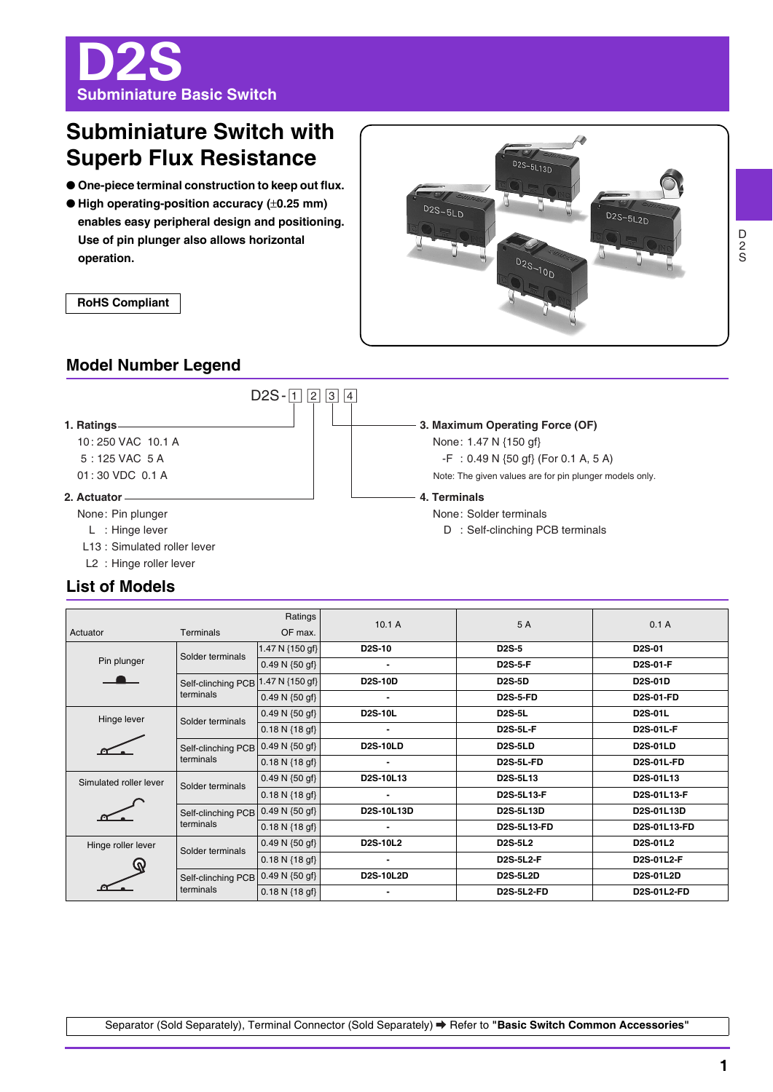D2S **Subminiature Basic Switch**

# **Subminiature Switch with Superb Flux Resistance**

- **One-piece terminal construction to keep out flux.**
- High operating-position accuracy (±0.25 mm) **enables easy peripheral design and positioning. Use of pin plunger also allows horizontal operation.**



**RoHS Compliant**

## **Model Number Legend**



## **List of Models**

| Ratings                |                                                | 10.1A                      | 5 A              | 0.1A                              |                    |  |
|------------------------|------------------------------------------------|----------------------------|------------------|-----------------------------------|--------------------|--|
| Actuator               | Terminals                                      | OF max.                    |                  |                                   |                    |  |
| Pin plunger            | Solder terminals                               | 1.47 N {150 gf}            | <b>D2S-10</b>    | <b>D2S-5</b>                      | <b>D2S-01</b>      |  |
|                        |                                                | $0.49 N \{50 gf\}$         | $\blacksquare$   | <b>D2S-5-F</b>                    | D2S-01-F           |  |
|                        | Self-clinching PCB <sup>1</sup>                | .47 N {150 gf}             | <b>D2S-10D</b>   | <b>D2S-5D</b>                     | <b>D2S-01D</b>     |  |
|                        | terminals                                      | $0.49 N \{50 gf\}$         | $\blacksquare$   | <b>D2S-5-FD</b>                   | <b>D2S-01-FD</b>   |  |
| Hinge lever            | Solder terminals                               | $0.49 N \{50 gf\}$         | <b>D2S-10L</b>   | <b>D2S-5L</b>                     | <b>D2S-01L</b>     |  |
|                        |                                                | $0.18 N \{18 gf\}$         | $\blacksquare$   | <b>D2S-5L-F</b>                   | <b>D2S-01L-F</b>   |  |
|                        | Self-clinching PCB 0.49 N {50 gf}<br>terminals |                            | <b>D2S-10LD</b>  | <b>D2S-5LD</b>                    | <b>D2S-01LD</b>    |  |
|                        |                                                | $0.18 N \{18 gf\}$         |                  | <b>D2S-5L-FD</b>                  | <b>D2S-01L-FD</b>  |  |
| Simulated roller lever | Solder terminals                               | 0.49 N $\{50 \text{ gf}\}$ | D2S-10L13        | D <sub>2</sub> S-5L <sub>13</sub> | D2S-01L13          |  |
|                        |                                                | $0.18 N \{18 gf\}$         |                  | <b>D2S-5L13-F</b>                 | D2S-01L13-F        |  |
|                        | Self-clinching PCB 0.49 N {50 gf}<br>terminals |                            | D2S-10L13D       | D2S-5L13D                         | D2S-01L13D         |  |
|                        |                                                | $0.18 N$ {18 gf}           |                  | D2S-5L13-FD                       | D2S-01L13-FD       |  |
| Hinge roller lever     | Solder terminals                               | $0.49 N \{50 gf\}$         | <b>D2S-10L2</b>  | <b>D2S-5L2</b>                    | D2S-01L2           |  |
|                        |                                                | $0.18 N \{18 gf\}$         | $\blacksquare$   | <b>D2S-5L2-F</b>                  | D2S-01L2-F         |  |
|                        | Self-clinching PCB<br>terminals                | $0.49 N \{50 gf\}$         | <b>D2S-10L2D</b> | <b>D2S-5L2D</b>                   | D2S-01L2D          |  |
|                        |                                                | $0.18 N \{18 gf\}$         | $\blacksquare$   | <b>D2S-5L2-FD</b>                 | <b>D2S-01L2-FD</b> |  |

D 2 S

**1**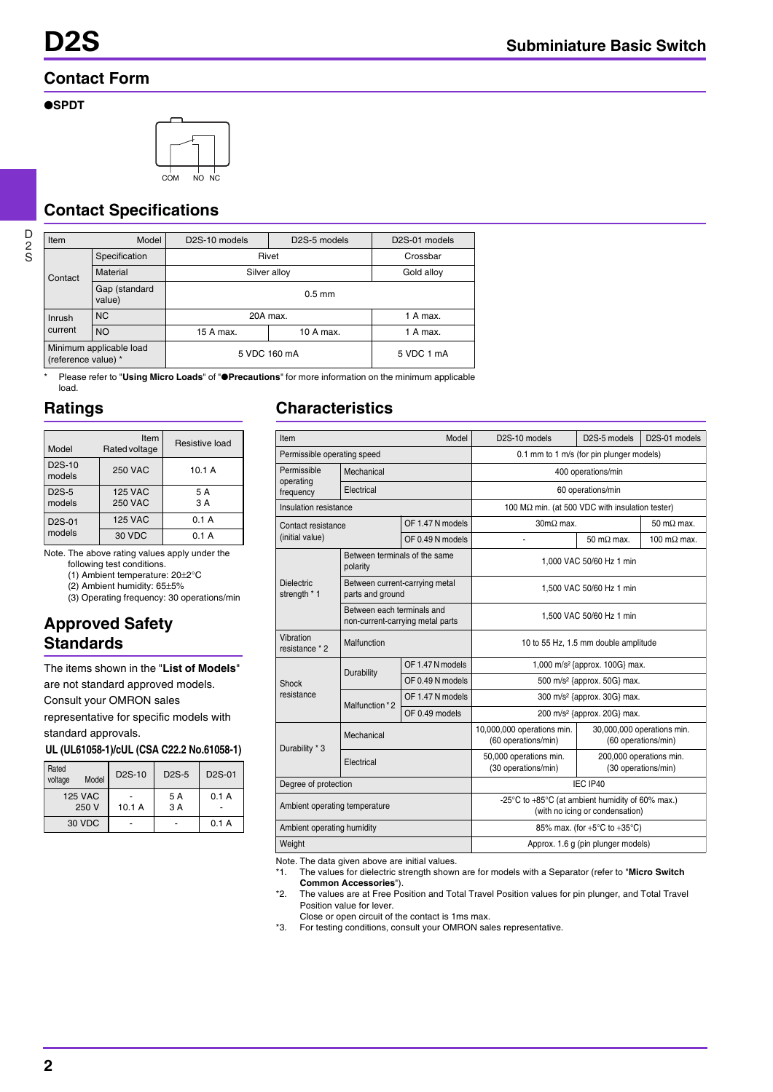## **Contact Form**

### ●**SPDT**



## **Contact Specifications**

| Item                                           | Model                   | D <sub>2</sub> S-10 models | D <sub>2</sub> S-5 models | D <sub>2</sub> S-01 models |
|------------------------------------------------|-------------------------|----------------------------|---------------------------|----------------------------|
| Specification                                  |                         | Rivet                      | Crossbar                  |                            |
| Contact                                        | Material                | Silver alloy               | Gold alloy                |                            |
|                                                | Gap (standard<br>value) |                            |                           |                            |
| <b>NC</b><br>Inrush                            |                         | 20A max.                   |                           | 1 A max.                   |
| current                                        | <b>NO</b>               | 15 A max.                  | 10 A max.                 | 1 A max.                   |
| Minimum applicable load<br>(reference value) * |                         | 5 VDC 160 mA               |                           | 5 VDC 1 mA                 |

\* Please refer to "**Using Micro Loads**" of "●**Precautions**" for more information on the minimum applicable load.

## **Ratings**

| Model                         | Item<br>Rated voltage            | Resistive load |
|-------------------------------|----------------------------------|----------------|
| D <sub>2</sub> S-10<br>models | <b>250 VAC</b>                   | 10.1 A         |
| D <sub>2</sub> S-5<br>models  | <b>125 VAC</b><br><b>250 VAC</b> | 5 A<br>3 A     |
| D <sub>2</sub> S-01           | <b>125 VAC</b>                   | 0.1A           |
| models                        | 30 VDC                           | 0.1 A          |

Note. The above rating values apply under the

following test conditions. (1) Ambient temperature: 20±2°C

(2) Ambient humidity: 65±5%

(3) Operating frequency: 30 operations/min

## **Approved Safety Standards**

The items shown in the "**List of Models**"

are not standard approved models.

Consult your OMRON sales

representative for specific models with standard approvals.

**UL (UL61058-1)/cUL (CSA C22.2 No.61058-1)**

| Rated<br>voltage | Model | D <sub>2</sub> S-10 | $D2S-5$ | D <sub>2</sub> S-01 |
|------------------|-------|---------------------|---------|---------------------|
| <b>125 VAC</b>   |       |                     | 5 A     | 0.1 A               |
| 250 V            |       | 10.1A               | 3 A     |                     |
| 30 VDC           |       |                     |         | 0.1 A               |

## **Characteristics**

| Item<br>Model                             |                                                                |                                                                                     | D <sub>2</sub> S-10 models                        | D <sub>2</sub> S-5 models                         | D <sub>2</sub> S-01 models |
|-------------------------------------------|----------------------------------------------------------------|-------------------------------------------------------------------------------------|---------------------------------------------------|---------------------------------------------------|----------------------------|
| Permissible operating speed               |                                                                |                                                                                     | 0.1 mm to 1 m/s (for pin plunger models)          |                                                   |                            |
| Permissible<br>Mechanical                 |                                                                | 400 operations/min                                                                  |                                                   |                                                   |                            |
| operating<br>frequency                    | Electrical                                                     |                                                                                     | 60 operations/min                                 |                                                   |                            |
| Insulation resistance                     |                                                                | 100 M $\Omega$ min. (at 500 VDC with insulation tester)                             |                                                   |                                                   |                            |
| Contact resistance<br>(initial value)     |                                                                | OF 1.47 N models                                                                    | $30 \text{m}\Omega$ max.                          |                                                   | $50 \text{ m}\Omega$ max.  |
|                                           |                                                                | OF 0.49 N models                                                                    | ä,                                                | $50 \text{ m}\Omega$ max.                         | 100 m $\Omega$ max.        |
| Between terminals of the same<br>polarity |                                                                |                                                                                     | 1,000 VAC 50/60 Hz 1 min                          |                                                   |                            |
| <b>Dielectric</b><br>strength * 1         | Between current-carrying metal<br>parts and ground             |                                                                                     | 1.500 VAC 50/60 Hz 1 min                          |                                                   |                            |
|                                           | Between each terminals and<br>non-current-carrying metal parts |                                                                                     | 1,500 VAC 50/60 Hz 1 min                          |                                                   |                            |
| Vibration<br>resistance * 2               | Malfunction                                                    |                                                                                     | 10 to 55 Hz, 1.5 mm double amplitude              |                                                   |                            |
|                                           | Durability                                                     | OF 1.47 N models                                                                    | 1,000 m/s <sup>2</sup> {approx. 100G} max.        |                                                   |                            |
| Shock                                     |                                                                | OF 0.49 N models                                                                    | 500 m/s <sup>2</sup> {approx. 50G} max.           |                                                   |                            |
| resistance                                | Malfunction *2                                                 | OF 1.47 N models                                                                    | 300 m/s <sup>2</sup> {approx. 30G} max.           |                                                   |                            |
|                                           |                                                                | OF 0.49 models                                                                      | 200 m/s <sup>2</sup> {approx. 20G} max.           |                                                   |                            |
| Durability * 3                            | Mechanical                                                     |                                                                                     | 10,000,000 operations min.<br>(60 operations/min) | 30,000,000 operations min.<br>(60 operations/min) |                            |
|                                           | Electrical                                                     |                                                                                     | 50,000 operations min.<br>(30 operations/min)     | 200,000 operations min.<br>(30 operations/min)    |                            |
| Degree of protection                      |                                                                | IEC IP40                                                                            |                                                   |                                                   |                            |
| Ambient operating temperature             |                                                                | -25°C to +85°C (at ambient humidity of 60% max.)<br>(with no icing or condensation) |                                                   |                                                   |                            |
| Ambient operating humidity                |                                                                |                                                                                     | 85% max. (for $+5^{\circ}$ C to $+35^{\circ}$ C)  |                                                   |                            |
| Weight                                    |                                                                |                                                                                     | Approx. 1.6 g (pin plunger models)                |                                                   |                            |

Note. The data given above are initial values.

- \*1. The values for dielectric strength shown are for models with a Separator (refer to "**Micro Switch Common Accessories**").
- \*2. The values are at Free Position and Total Travel Position values for pin plunger, and Total Travel Position value for lever.

Close or open circuit of the contact is 1ms max.

\*3. For testing conditions, consult your OMRON sales representative.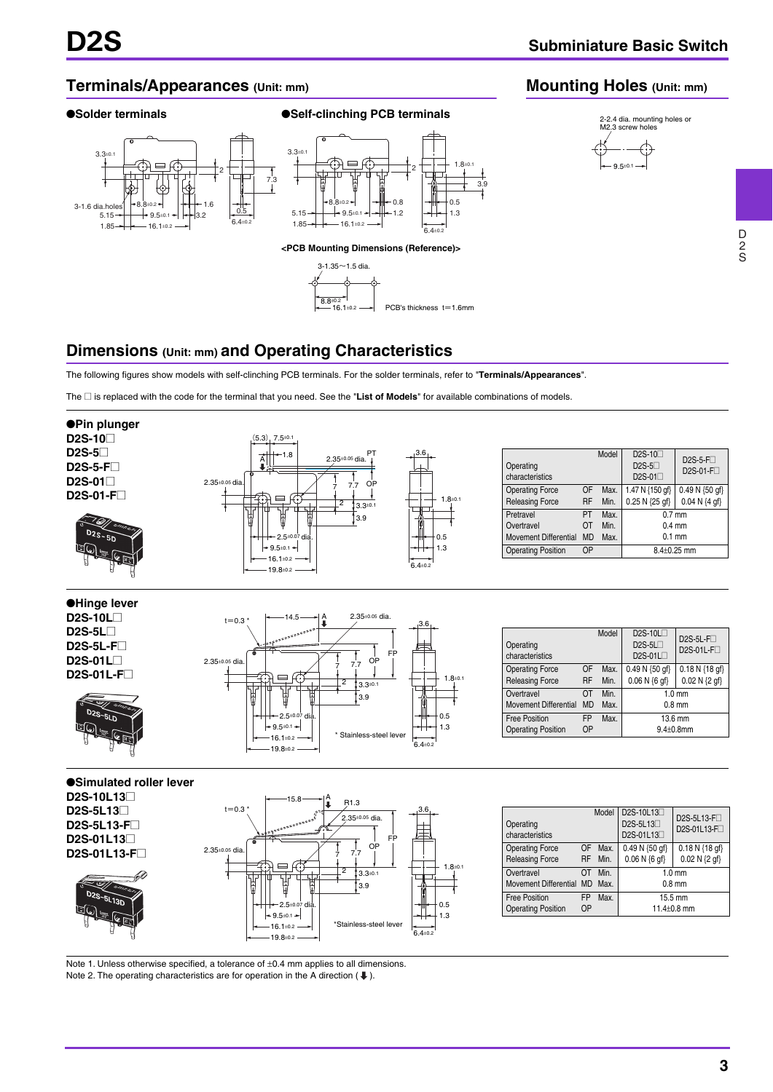2-2.4 dia. mounting holes or M2.3 screw holes

**Mounting Holes (Unit: mm)**

9.5±0.1

### **Terminals/Appearances (Unit: mm)**







## **Dimensions (Unit: mm) and Operating Characteristics**

The following figures show models with self-clinching PCB terminals. For the solder terminals, refer to "**Terminals/Appearances**".

The @ is replaced with the code for the terminal that you need. See the "**List of Models**" for available combinations of models.



Note 1. Unless otherwise specified, a tolerance of  $\pm 0.4$  mm applies to all dimensions. Note 2. The operating characteristics are for operation in the A direction ( $\bigdownarrow$ ).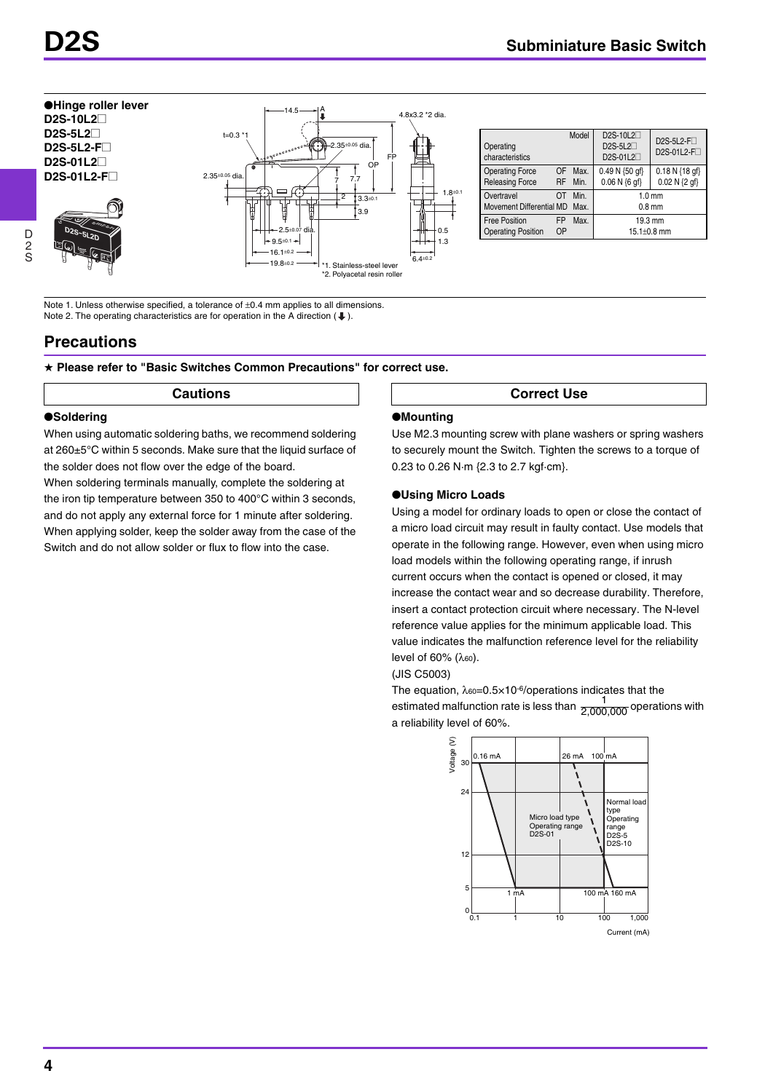**D2S-10L2**@ **D2S-5L2**@ **D2S-5L2-F**@ **D2S-01L2**@



| Operating<br>characteristics                      |                 | Model           | D2S-10L2<br>D2S-5L2 <sup>[1]</sup><br>D2S-01L2 | D2S-5L2-F <sub>D</sub><br>D2S-01L2-FD |
|---------------------------------------------------|-----------------|-----------------|------------------------------------------------|---------------------------------------|
| <b>Operating Force</b><br><b>Releasing Force</b>  | OF              | Max.<br>RF Min. | $0.49 N \{50 \text{ qf}\}$<br>$0.06 N {6 af}$  | $0.18 N$ {18 gf}<br>$0.02 N {2 gf}$   |
| Overtravel<br>Movement Differential MD            | ΩT              | Min.<br>Max.    |                                                | 1.0 <sub>mm</sub><br>$0.8$ mm         |
| <b>Free Position</b><br><b>Operating Position</b> | <b>FP</b><br>OP | Max.            | 19.3 mm<br>$15.1 \pm 0.8$ mm                   |                                       |

Note 1. Unless otherwise specified, a tolerance of  $\pm$ 0.4 mm applies to all dimensions. Note 2. The operating characteristics are for operation in the A direction  $($   $\blacklozenge$   $)$ .

## **Precautions**

★ **Please refer to "Basic Switches Common Precautions" for correct use.** 

### ●**Soldering**

When using automatic soldering baths, we recommend soldering at 260±5°C within 5 seconds. Make sure that the liquid surface of the solder does not flow over the edge of the board.

When soldering terminals manually, complete the soldering at the iron tip temperature between 350 to 400°C within 3 seconds, and do not apply any external force for 1 minute after soldering. When applying solder, keep the solder away from the case of the Switch and do not allow solder or flux to flow into the case.

### **Cautions**  $\vert$   $\vert$  **Correct Use**

### ●**Mounting**

Use M2.3 mounting screw with plane washers or spring washers to securely mount the Switch. Tighten the screws to a torque of 0.23 to 0.26 N·m {2.3 to 2.7 kgf·cm}.

### ●**Using Micro Loads**

Using a model for ordinary loads to open or close the contact of a micro load circuit may result in faulty contact. Use models that operate in the following range. However, even when using micro load models within the following operating range, if inrush current occurs when the contact is opened or closed, it may increase the contact wear and so decrease durability. Therefore, insert a contact protection circuit where necessary. The N-level reference value applies for the minimum applicable load. This value indicates the malfunction reference level for the reliability level of 60% (λ<sub>60</sub>).

(JIS C5003)

The equation,  $\lambda_{60} = 0.5 \times 10^{-6}$ /operations indicates that the estimated malfunction rate is less than  $\frac{1}{2.000,000}$  operations with a reliability level of 60%. 2,000,000



D 2 S